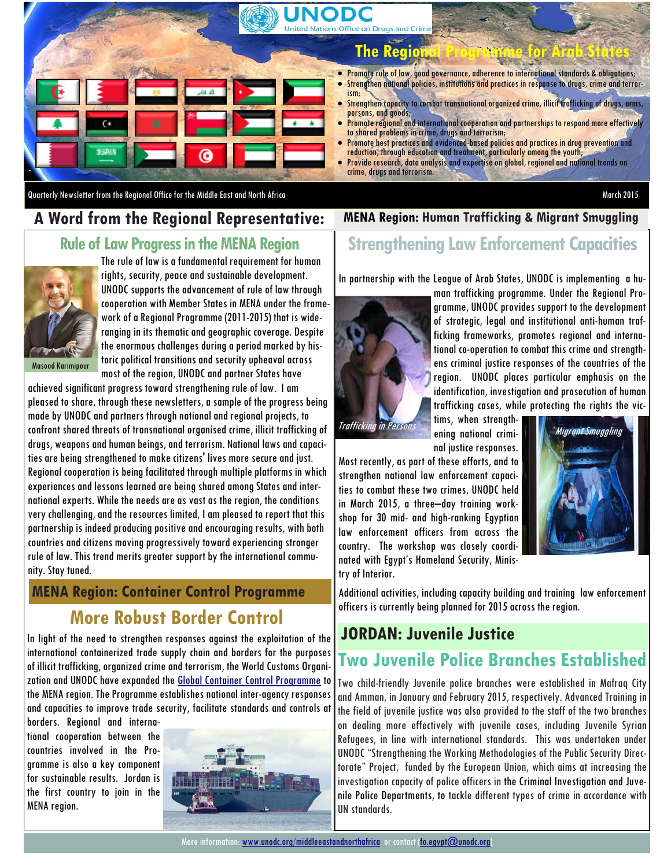

Quarterly Newsletter from the Regional Office for the Middle East and North Africa March 2015

#### **MENA Region: Human Trafficking & Migrant Smuggling**

#### **Rule of Law Progress in the MENA Region**

**A Word from the Regional Representative:** 



The rule of law is a fundamental requirement for human rights, security, peace and sustainable development. UNODC supports the advancement of rule of law through cooperation with Member States in MENA under the framework of a Regional Programme (2011-2015) that is wideranging in its thematic and geographic coverage. Despite the enormous challenges during a period marked by historic political transitions and security upheaval across most of the region, UNODC and partner States have

Masood Karimipour

achieved significant progress toward strengthening rule of law. I am pleased to share, through these newsletters, a sample of the progress being made by UNODC and partners through national and regional projects, to confront shared threats of transnational organised crime, illicit trafficking of drugs, weapons and human beings, and terrorism. National laws and capacities are being strengthened to make citizens' lives more secure and just. Regional cooperation is being facilitated through multiple platforms in which experiences and lessons learned are being shared among States and international experts. While the needs are as vast as the region, the conditions very challenging, and the resources limited, I am pleased to report that this partnership is indeed producing positive and encouraging results, with both countries and citizens moving progressively toward experiencing stronger rule of law. This trend merits greater support by the international community. Stay tuned.

## **More Robust Border Control MENA Region: Container Control Programme**

In light of the need to strengthen responses against the exploitation of the international containerized trade supply chain and borders for the purposes of illicit trafficking, organized crime and terrorism, the World Customs Organization and UNODC have expanded the **Global Container Control Programme** to the MENA region. The Programme establishes national inter-agency responses and capacities to improve trade security, facilitate standards and controls at

borders. Regional and international cooperation between the countries involved in the Programme is also a key component for sustainable results. Jordan is the first country to join in the MENA region.



# **Strengthening Law Enforcement Capacities**

In partnership with the League of Arab States, UNODC is implementing a hu-



man trafficking programme. Under the Regional Programme, UNODC provides support to the development of strategic, legal and institutional anti-human trafficking frameworks, promotes regional and international co-operation to combat this crime and strengthens criminal justice responses of the countries of the region. UNODC places particular emphasis on the identification, investigation and prosecution of human trafficking cases, while protecting the rights the vic-

tims, when strengthnal justice responses.

Most recently, as part of these efforts, and to strengthen national law enforcement capacities to combat these two crimes, UNODC held in March 2015, a three–day training workshop for 30 mid- and high-ranking Egyptian law enforcement officers from across the country. The workshop was closely coordinated with Egypt's Homeland Security, Ministry of Interior.



Additional activities, including capacity building and training law enforcement officers is currently being planned for 2015 across the region.

### **JORDAN: Juvenile Justice**

### **Two Juvenile Police Branches Established**

Two child-friendly Juvenile police branches were established in Mafraq City and Amman, in January and February 2015, respectively. Advanced Training in the field of juvenile justice was also provided to the staff of the two branches on dealing more effectively with juvenile cases, including Juvenile Syrian Refugees, in line with international standards. This was undertaken under UNODC "Strengthening the Working Methodologies of the Public Security Directorate" Project, funded by the European Union, which aims at increasing the investigation capacity of police officers in the Criminal Investigation and Juvenile Police Departments, to tackle different types of crime in accordance with UN standards.